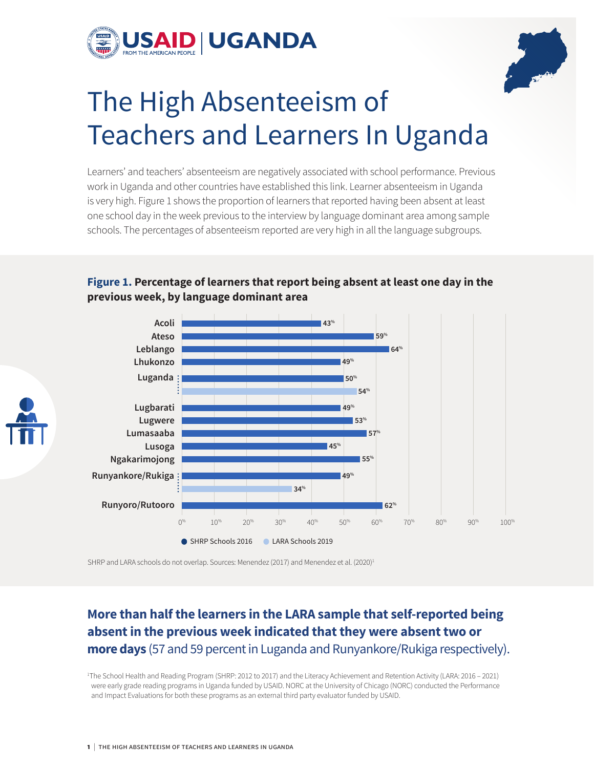



# The High Absenteeism of Teachers and Learners In Uganda

Learners' and teachers' absenteeism are negatively associated with school performance. Previous work in Uganda and other countries have established this link. Learner absenteeism in Uganda is very high. Figure 1 shows the proportion of learners that reported having been absent at least one school day in the week previous to the interview by language dominant area among sample schools. The percentages of absenteeism reported are very high in all the language subgroups.



**Figure 1. Percentage of learners that report being absent at least one day in the previous week, by language dominant area**

SHRP and LARA schools do not overlap. Sources: Menendez (2017) and Menendez et al. (2020)<sup>1</sup>

## **More than half the learners in the LARA sample that self-reported being absent in the previous week indicated that they were absent two or more days** (57 and 59 percent in Luganda and Runyankore/Rukiga respectively).

1 The School Health and Reading Program (SHRP: 2012 to 2017) and the Literacy Achievement and Retention Activity (LARA: 2016 – 2021) were early grade reading programs in Uganda funded by USAID. NORC at the University of Chicago (NORC) conducted the Performance and Impact Evaluations for both these programs as an external third party evaluator funded by USAID.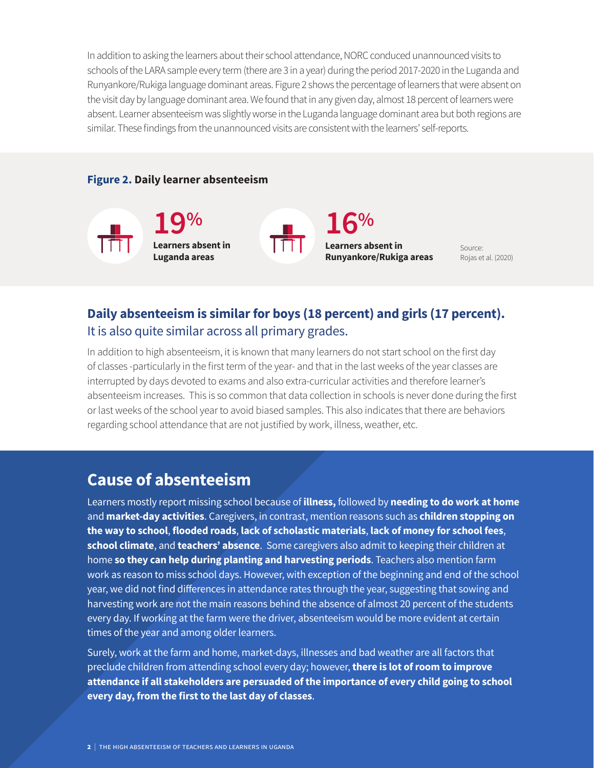In addition to asking the learners about their school attendance, NORC conduced unannounced visits to schools of the LARA sample every term (there are 3 in a year) during the period 2017-2020 in the Luganda and Runyankore/Rukiga language dominant areas. Figure 2 shows the percentage of learners that were absent on the visit day by language dominant area. We found that in any given day, almost 18 percent of learners were absent. Learner absenteeism was slightly worse in the Luganda language dominant area but both regions are similar. These findings from the unannounced visits are consistent with the learners' self-reports.

#### **Figure 2. Daily learner absenteeism**



Source: Rojas et al. (2020)

## **Daily absenteeism is similar for boys (18 percent) and girls (17 percent).** It is also quite similar across all primary grades.

In addition to high absenteeism, it is known that many learners do not start school on the first day of classes -particularly in the first term of the year- and that in the last weeks of the year classes are interrupted by days devoted to exams and also extra-curricular activities and therefore learner's absenteeism increases. This is so common that data collection in schools is never done during the first or last weeks of the school year to avoid biased samples. This also indicates that there are behaviors regarding school attendance that are not justified by work, illness, weather, etc.

# **Cause of absenteeism**

Learners mostly report missing school because of **illness,** followed by **needing to do work at home** and **market-day activities**. Caregivers, in contrast, mention reasons such as **children stopping on the way to school**, **flooded roads**, **lack of scholastic materials**, **lack of money for school fees**, **school climate**, and **teachers' absence**. Some caregivers also admit to keeping their children at home **so they can help during planting and harvesting periods**. Teachers also mention farm work as reason to miss school days. However, with exception of the beginning and end of the school year, we did not find differences in attendance rates through the year, suggesting that sowing and harvesting work are not the main reasons behind the absence of almost 20 percent of the students every day. If working at the farm were the driver, absenteeism would be more evident at certain times of the year and among older learners.

Surely, work at the farm and home, market-days, illnesses and bad weather are all factors that preclude children from attending school every day; however, **there is lot of room to improve attendance if all stakeholders are persuaded of the importance of every child going to school every day, from the first to the last day of classes**.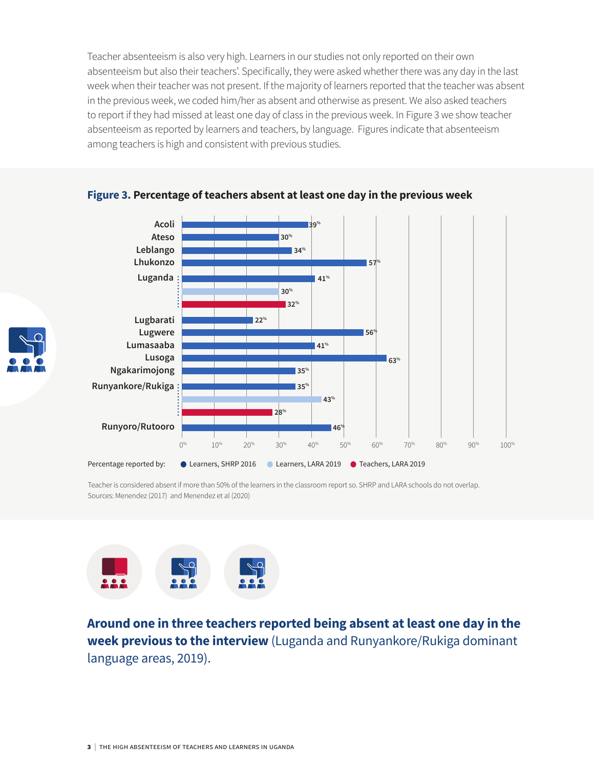Teacher absenteeism is also very high. Learners in our studies not only reported on their own absenteeism but also their teachers'. Specifically, they were asked whether there was any day in the last week when their teacher was not present. If the majority of learners reported that the teacher was absent in the previous week, we coded him/her as absent and otherwise as present. We also asked teachers to report if they had missed at least one day of class in the previous week. In Figure 3 we show teacher absenteeism as reported by learners and teachers, by language. Figures indicate that absenteeism among teachers is high and consistent with previous studies.



#### **Figure 3. Percentage of teachers absent at least one day in the previous week**

Teacher is considered absent if more than 50% of the learners in the classroom report so. SHRP and LARA schools do not overlap. Sources: Menendez (2017) and Menendez et al (2020)



**Around one in three teachers reported being absent at least one day in the week previous to the interview** (Luganda and Runyankore/Rukiga dominant language areas, 2019).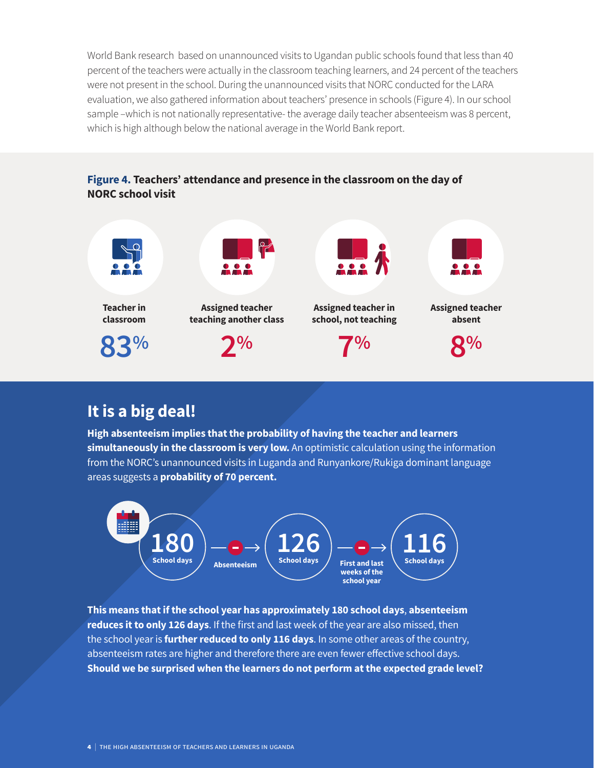World Bank research based on unannounced visits to Ugandan public schools found that less than 40 percent of the teachers were actually in the classroom teaching learners, and 24 percent of the teachers were not present in the school. During the unannounced visits that NORC conducted for the LARA evaluation, we also gathered information about teachers' presence in schools (Figure 4). In our school sample –which is not nationally representative- the average daily teacher absenteeism was 8 percent, which is high although below the national average in the World Bank report.

#### **Figure 4. Teachers' attendance and presence in the classroom on the day of NORC school visit**



# **It is a big deal!**

**High absenteeism implies that the probability of having the teacher and learners simultaneously in the classroom is very low.** An optimistic calculation using the information from the NORC's unannounced visits in Luganda and Runyankore/Rukiga dominant language areas suggests a **probability of 70 percent.**



**This means that if the school year has approximately 180 school days**, **absenteeism reduces it to only 126 days**. If the first and last week of the year are also missed, then the school year is **further reduced to only 116 days**. In some other areas of the country, absenteeism rates are higher and therefore there are even fewer effective school days. **Should we be surprised when the learners do not perform at the expected grade level?**